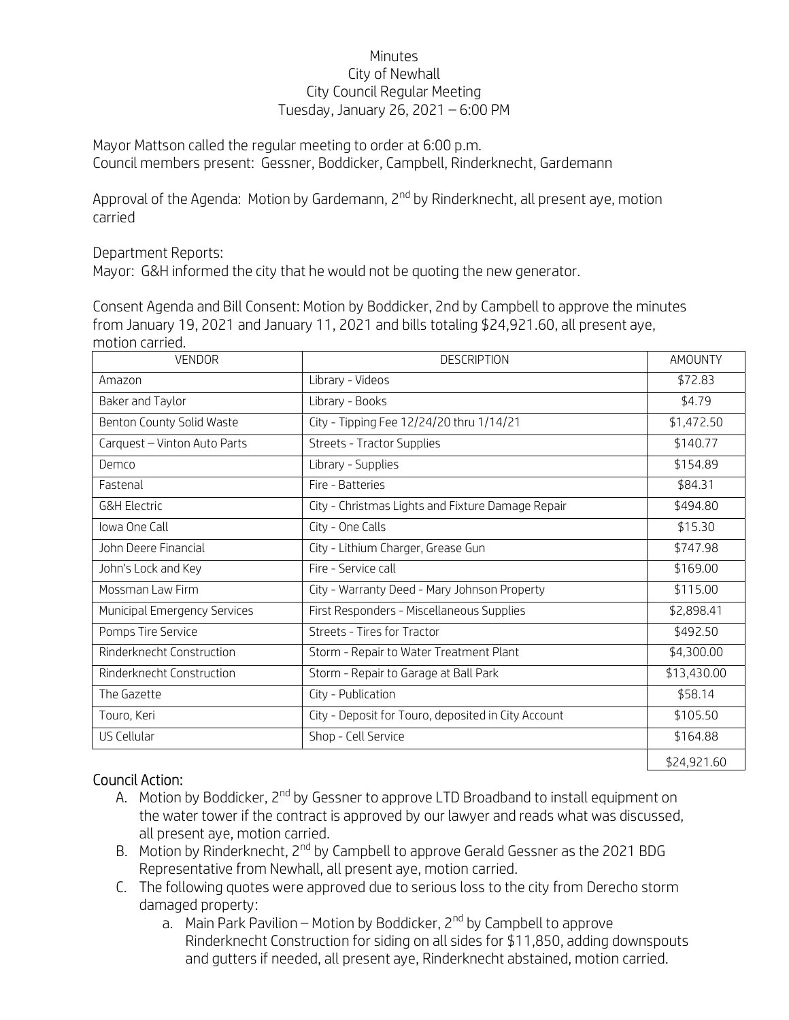## Minutes City of Newhall City Council Regular Meeting Tuesday, January 26, 2021 – 6:00 PM

Mayor Mattson called the regular meeting to order at 6:00 p.m. Council members present: Gessner, Boddicker, Campbell, Rinderknecht, Gardemann

Approval of the Agenda: Motion by Gardemann, 2<sup>nd</sup> by Rinderknecht, all present aye, motion carried

Department Reports:

Mayor: G&H informed the city that he would not be quoting the new generator.

Consent Agenda and Bill Consent: Motion by Boddicker, 2nd by Campbell to approve the minutes from January 19, 2021 and January 11, 2021 and bills totaling \$24,921.60, all present aye, motion carried.

| <b>VENDOR</b>                | <b>DESCRIPTION</b>                                  | <b>AMOUNTY</b> |
|------------------------------|-----------------------------------------------------|----------------|
| Amazon                       | Library - Videos                                    | \$72.83        |
| Baker and Taylor             | Library - Books                                     | \$4.79         |
| Benton County Solid Waste    | City - Tipping Fee 12/24/20 thru 1/14/21            | \$1,472.50     |
| Carquest - Vinton Auto Parts | Streets - Tractor Supplies                          | \$140.77       |
| Demco                        | Library - Supplies                                  | \$154.89       |
| Fastenal                     | Fire - Batteries                                    | \$84.31        |
| <b>G&amp;H Electric</b>      | City - Christmas Lights and Fixture Damage Repair   | \$494.80       |
| Iowa One Call                | City - One Calls                                    | \$15.30        |
| John Deere Financial         | City - Lithium Charger, Grease Gun                  | \$747.98       |
| John's Lock and Key          | Fire - Service call                                 | \$169.00       |
| Mossman Law Firm             | City - Warranty Deed - Mary Johnson Property        | \$115.00       |
| Municipal Emergency Services | First Responders - Miscellaneous Supplies           | \$2,898.41     |
| Pomps Tire Service           | Streets - Tires for Tractor                         | \$492.50       |
| Rinderknecht Construction    | Storm - Repair to Water Treatment Plant             | \$4,300.00     |
| Rinderknecht Construction    | Storm - Repair to Garage at Ball Park               | \$13,430.00    |
| The Gazette                  | City - Publication                                  | \$58.14        |
| Touro, Keri                  | City - Deposit for Touro, deposited in City Account | \$105.50       |
| US Cellular                  | Shop - Cell Service                                 | \$164.88       |
|                              |                                                     | \$24,921.60    |

## Council Action:

- A. Motion by Boddicker, 2<sup>nd</sup> by Gessner to approve LTD Broadband to install equipment on the water tower if the contract is approved by our lawyer and reads what was discussed, all present aye, motion carried.
- B. Motion by Rinderknecht, 2<sup>nd</sup> by Campbell to approve Gerald Gessner as the 2021 BDG Representative from Newhall, all present aye, motion carried.
- C. The following quotes were approved due to serious loss to the city from Derecho storm damaged property:
	- a. Main Park Pavilion Motion by Boddicker,  $2^{nd}$  by Campbell to approve Rinderknecht Construction for siding on all sides for \$11,850, adding downspouts and gutters if needed, all present aye, Rinderknecht abstained, motion carried.